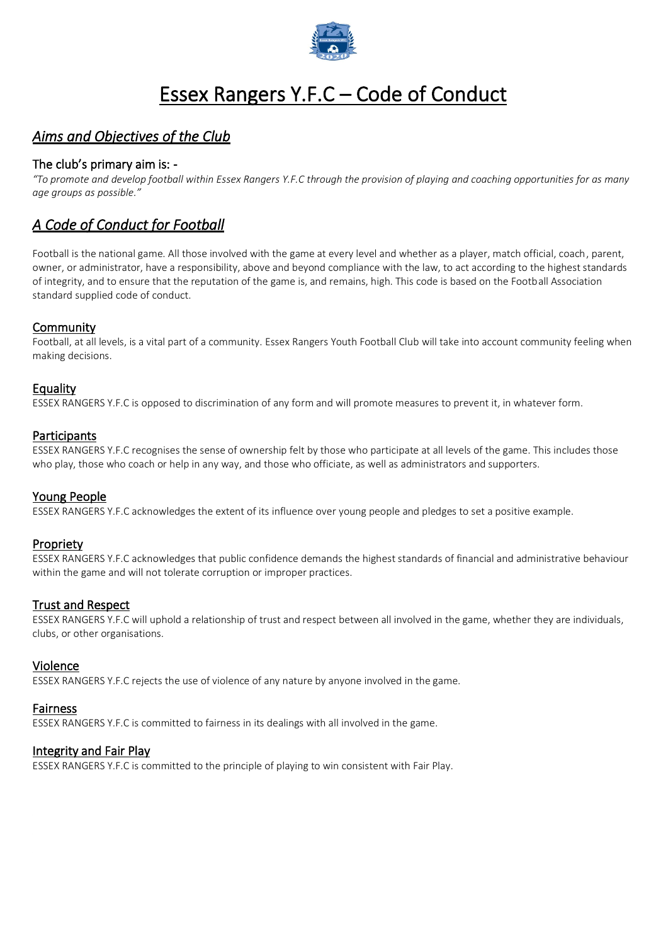

# Essex Rangers Y.F.C – Code of Conduct

# *Aims and Objectives of the Club*

### The club's primary aim is: -

*"To promote and develop football within Essex Rangers Y.F.C through the provision of playing and coaching opportunities for as many age groups as possible."*

# *A Code of Conduct for Football*

Football is the national game. All those involved with the game at every level and whether as a player, match official, coach, parent, owner, or administrator, have a responsibility, above and beyond compliance with the law, to act according to the highest standards of integrity, and to ensure that the reputation of the game is, and remains, high. This code is based on the Football Association standard supplied code of conduct.

#### **Community**

Football, at all levels, is a vital part of a community. Essex Rangers Youth Football Club will take into account community feeling when making decisions.

#### Equality

ESSEX RANGERS Y.F.C is opposed to discrimination of any form and will promote measures to prevent it, in whatever form.

#### **Participants**

ESSEX RANGERS Y.F.C recognises the sense of ownership felt by those who participate at all levels of the game. This includes those who play, those who coach or help in any way, and those who officiate, as well as administrators and supporters.

#### Young People

ESSEX RANGERS Y.F.C acknowledges the extent of its influence over young people and pledges to set a positive example.

#### Propriety

ESSEX RANGERS Y.F.C acknowledges that public confidence demands the highest standards of financial and administrative behaviour within the game and will not tolerate corruption or improper practices.

#### Trust and Respect

ESSEX RANGERS Y.F.C will uphold a relationship of trust and respect between all involved in the game, whether they are individuals, clubs, or other organisations.

#### Violence

ESSEX RANGERS Y.F.C rejects the use of violence of any nature by anyone involved in the game.

#### Fairness

ESSEX RANGERS Y.F.C is committed to fairness in its dealings with all involved in the game.

#### Integrity and Fair Play

ESSEX RANGERS Y.F.C is committed to the principle of playing to win consistent with Fair Play.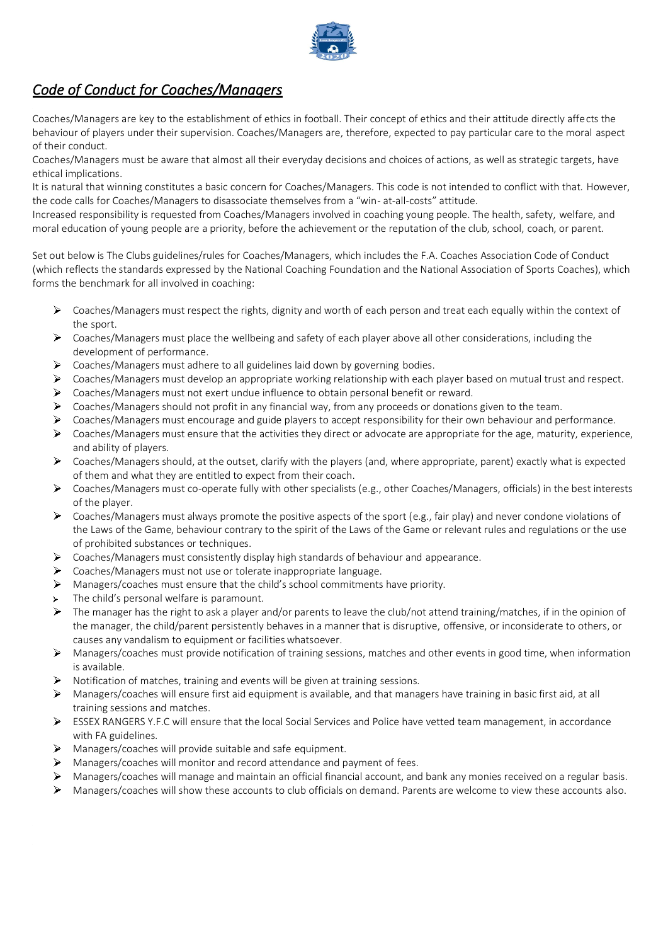

# *Code of Conduct for Coaches/Managers*

Coaches/Managers are key to the establishment of ethics in football. Their concept of ethics and their attitude directly affects the behaviour of players under their supervision. Coaches/Managers are, therefore, expected to pay particular care to the moral aspect of their conduct.

Coaches/Managers must be aware that almost all their everyday decisions and choices of actions, as well as strategic targets, have ethical implications.

It is natural that winning constitutes a basic concern for Coaches/Managers. This code is not intended to conflict with that. However, the code calls for Coaches/Managers to disassociate themselves from a "win- at-all-costs" attitude.

Increased responsibility is requested from Coaches/Managers involved in coaching young people. The health, safety, welfare, and moral education of young people are a priority, before the achievement or the reputation of the club, school, coach, or parent.

Set out below is The Clubs guidelines/rules for Coaches/Managers, which includes the F.A. Coaches Association Code of Conduct (which reflects the standards expressed by the National Coaching Foundation and the National Association of Sports Coaches), which forms the benchmark for all involved in coaching:

- Coaches/Managers must respect the rights, dignity and worth of each person and treat each equally within the context of the sport.
- $\triangleright$  Coaches/Managers must place the wellbeing and safety of each player above all other considerations, including the development of performance.
- $\blacktriangleright$ Coaches/Managers must adhere to all guidelines laid down by governing bodies.
- $\Delta$ Coaches/Managers must develop an appropriate working relationship with each player based on mutual trust and respect.
- $\blacktriangleright$ Coaches/Managers must not exert undue influence to obtain personal benefit or reward.
- $\blacktriangleright$ Coaches/Managers should not profit in any financial way, from any proceeds or donations given to the team.
- $\blacktriangleright$ Coaches/Managers must encourage and guide players to accept responsibility for their own behaviour and performance.
- $\blacktriangleright$ Coaches/Managers must ensure that the activities they direct or advocate are appropriate for the age, maturity, experience, and ability of players.
- $\blacktriangleright$ Coaches/Managers should, at the outset, clarify with the players (and, where appropriate, parent) exactly what is expected of them and what they are entitled to expect from their coach.
- $\triangleright$ Coaches/Managers must co-operate fully with other specialists (e.g., other Coaches/Managers, officials) in the best interests of the player.
- $\blacktriangleright$ Coaches/Managers must always promote the positive aspects of the sport (e.g., fair play) and never condone violations of the Laws of the Game, behaviour contrary to the spirit of the Laws of the Game or relevant rules and regulations or the use of prohibited substances or techniques.
- $\blacktriangleright$ Coaches/Managers must consistently display high standards of behaviour and appearance.
- $\blacktriangleright$ Coaches/Managers must not use or tolerate inappropriate language.
- $\blacktriangleright$ Managers/coaches must ensure that the child's school commitments have priority.
- The child's personal welfare is paramount.  $\mathbf{v}$
- $\blacktriangleright$ The manager has the right to ask a player and/or parents to leave the club/not attend training/matches, if in the opinion of the manager, the child/parent persistently behaves in a manner that is disruptive, offensive, or inconsiderate to others, or causes any vandalism to equipment or facilitieswhatsoever.
- Managers/coaches must provide notification of training sessions, matches and other events in good time, when information is available.
- Notification of matches, training and events will be given at training sessions.
- Managers/coaches will ensure first aid equipment is available, and that managers have training in basic first aid, at all training sessions and matches.
- $\triangleright$  ESSEX RANGERS Y.F.C will ensure that the local Social Services and Police have vetted team management, in accordance with FA guidelines.
- Managers/coaches will provide suitable and safe equipment.
- $\blacktriangleright$ Managers/coaches will monitor and record attendance and payment of fees.
- $\blacktriangleright$ Managers/coaches will manage and maintain an official financial account, and bank any monies received on a regular basis.
- Managers/coaches will show these accounts to club officials on demand. Parents are welcome to view these accounts also.  $\blacktriangleright$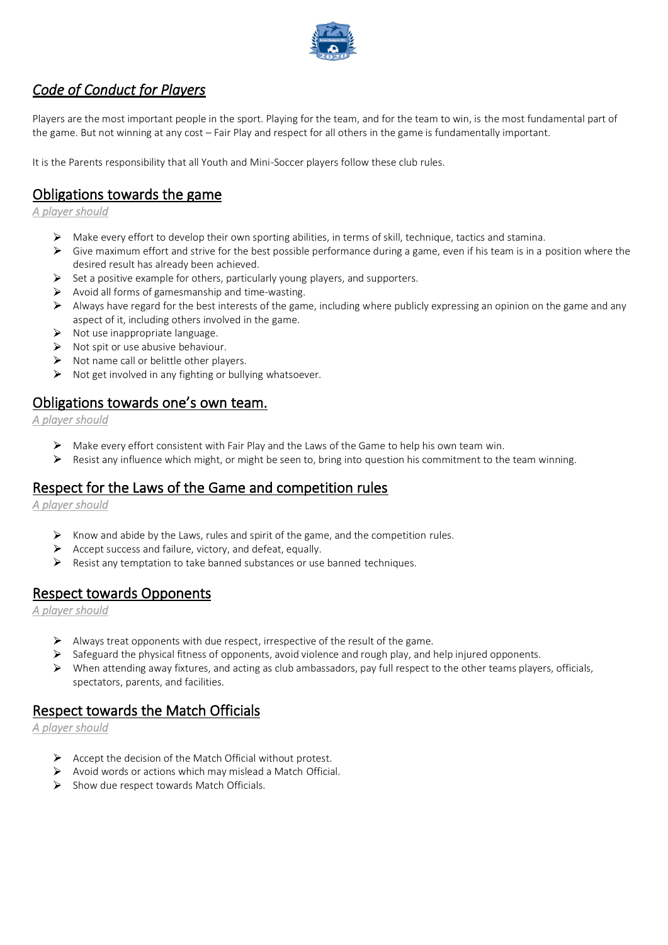

# *Code of Conduct for Players*

Players are the most important people in the sport. Playing for the team, and for the team to win, is the most fundamental part of the game. But not winning at any cost – Fair Play and respect for all others in the game is fundamentally important.

It is the Parents responsibility that all Youth and Mini-Soccer players follow these club rules.

### Obligations towards the game

*A player should*

- Make every effort to develop their own sporting abilities, in terms of skill, technique, tactics and stamina.
- Give maximum effort and strive for the best possible performance during a game, even if his team is in a position where the desired result has already been achieved.
- $\triangleright$  Set a positive example for others, particularly young players, and supporters.
- $\triangleright$  Avoid all forms of gamesmanship and time-wasting.
- $\triangleright$  Always have regard for the best interests of the game, including where publicly expressing an opinion on the game and any aspect of it, including others involved in the game.
- $\triangleright$  Not use inappropriate language.
- $\triangleright$  Not spit or use abusive behaviour.
- $\triangleright$  Not name call or belittle other players.
- $\triangleright$  Not get involved in any fighting or bullying whatsoever.

### Obligations towards one's own team.

*A player should*

- Make every effort consistent with Fair Play and the Laws of the Game to help his own team win.
- $\blacktriangleright$ Resist any influence which might, or might be seen to, bring into question his commitment to the team winning.

### Respect for the Laws of the Game and competition rules

*A player should* 

- $\triangleright$  Know and abide by the Laws, rules and spirit of the game, and the competition rules.
- $\blacktriangleright$ Accept success and failure, victory, and defeat, equally.
- $\triangleright$  Resist any temptation to take banned substances or use banned techniques.

### Respect towards Opponents

*A player should* 

- $\triangleright$  Always treat opponents with due respect, irrespective of the result of the game.
- Safeguard the physical fitness of opponents, avoid violence and rough play, and help injured opponents.
- $\triangleright$  When attending away fixtures, and acting as club ambassadors, pay full respect to the other teams players, officials, spectators, parents, and facilities.

### Respect towards the Match Officials

*A player should* 

- $\triangleright$  Accept the decision of the Match Official without protest.
- $\triangleright$  Avoid words or actions which may mislead a Match Official.
- $\triangleright$  Show due respect towards Match Officials.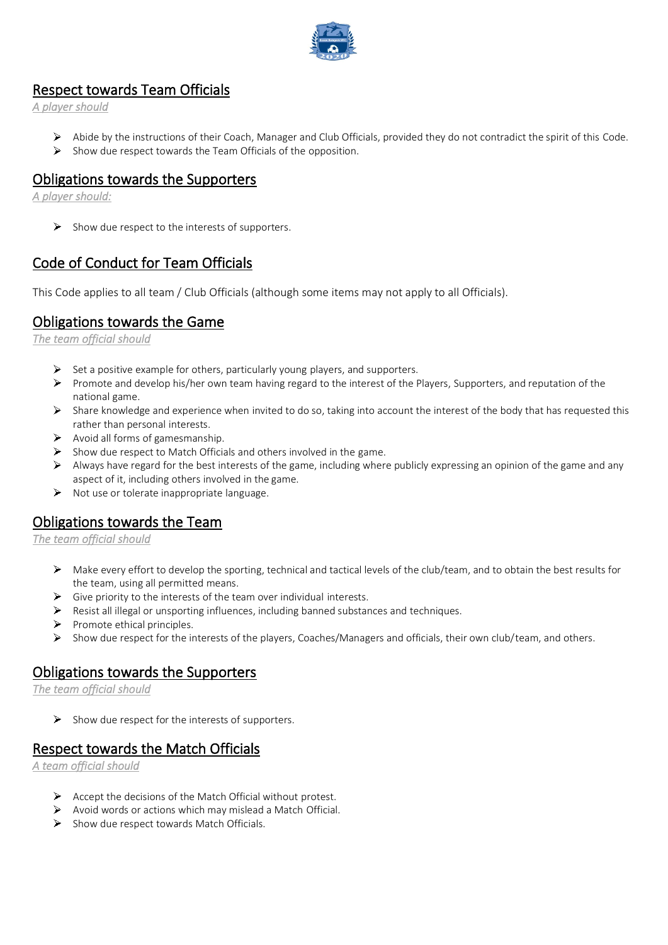

### Respect towards Team Officials

*A player should* 

- Abide by the instructions of their Coach, Manager and Club Officials, provided they do not contradict the spirit of this Code.
- $\triangleright$  Show due respect towards the Team Officials of the opposition.

### Obligations towards the Supporters

*A player should:* 

 $\triangleright$  Show due respect to the interests of supporters.

# Code of Conduct for Team Officials

This Code applies to all team / Club Officials (although some items may not apply to all Officials).

# Obligations towards the Game

*The team official should* 

- $\triangleright$  Set a positive example for others, particularly young players, and supporters.
- Promote and develop his/her own team having regard to the interest of the Players, Supporters, and reputation of the national game.
- $\triangleright$  Share knowledge and experience when invited to do so, taking into account the interest of the body that has requested this rather than personal interests.
- $\triangleright$  Avoid all forms of gamesmanship.
- $\triangleright$  Show due respect to Match Officials and others involved in the game.
- $\triangleright$  Always have regard for the best interests of the game, including where publicly expressing an opinion of the game and any aspect of it, including others involved in the game.
- $\triangleright$  Not use or tolerate inappropriate language.

### Obligations towards the Team

*The team official should* 

- $\triangleright$  Make every effort to develop the sporting, technical and tactical levels of the club/team, and to obtain the best results for the team, using all permitted means.
- $\triangleright$  Give priority to the interests of the team over individual interests.
- Resist all illegal or unsporting influences, including banned substances and techniques.
- $\triangleright$  Promote ethical principles.
- $\triangleright$  Show due respect for the interests of the players, Coaches/Managers and officials, their own club/team, and others.

### Obligations towards the Supporters

*The team official should* 

 $\triangleright$  Show due respect for the interests of supporters.

### Respect towards the Match Officials

*A team official should* 

- $\triangleright$  Accept the decisions of the Match Official without protest.
- $\triangleright$  Avoid words or actions which may mislead a Match Official.
- $\triangleright$  Show due respect towards Match Officials.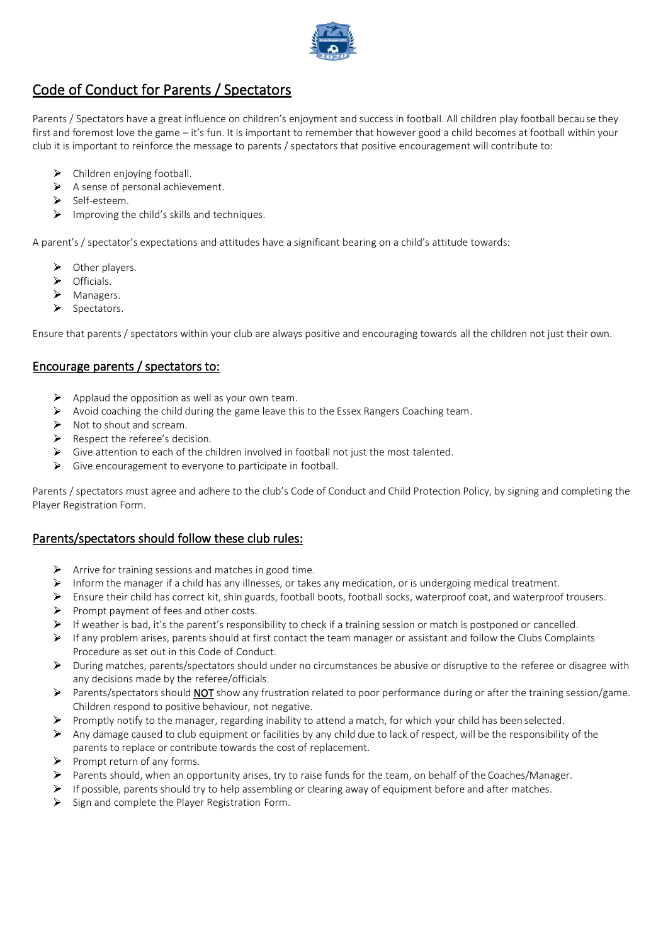

# Code of Conduct for Parents / Spectators

Parents / Spectators have a great influence on children's enjoyment and success in football. All children play football because they first and foremost love the game – it's fun. It is important to remember that however good a child becomes at football within your club it is important to reinforce the message to parents / spectators that positive encouragement will contribute to:

- Children enjoying football.  $\triangleright$
- $\triangleright$  A sense of personal achievement.
- $\blacktriangleright$ Self-esteem.
- $\blacktriangleright$ Improving the child's skills and techniques.

A parent's / spectator's expectations and attitudes have a significant bearing on a child's attitude towards:

- $\triangleright$ Other players.
- $\blacktriangleright$ Officials.
- ↘ Managers.
- ↘ Spectators.

Ensure that parents / spectators within your club are always positive and encouraging towards all the children not just their own.

### Encourage parents / spectators to:

- $\triangleright$  Applaud the opposition as well as your own team.
- $\triangleright$  Avoid coaching the child during the game leave this to the Essex Rangers Coaching team.
- $\triangleright$  Not to shout and scream.
- $\triangleright$  Respect the referee's decision.
- $\triangleright$  Give attention to each of the children involved in football not just the most talented.
- $\triangleright$  Give encouragement to everyone to participate in football.

Parents / spectators must agree and adhere to the club's Code of Conduct and Child Protection Policy, by signing and completing the Player Registration Form.

#### Parents/spectators should follow these club rules:

- $\triangleright$  Arrive for training sessions and matches in good time.
- $\triangleright$  Inform the manager if a child has any illnesses, or takes any medication, or is undergoing medical treatment.
- $\blacktriangleright$ Ensure their child has correct kit, shin guards, football boots, football socks, waterproof coat, and waterproof trousers.
- $\blacktriangleright$ Prompt payment of fees and other costs.
- $\blacktriangle$ If weather is bad, it's the parent's responsibility to check if a training session or match is postponed or cancelled.
- If any problem arises, parents should at first contact the team manager or assistant and follow the Clubs Complaints Procedure as set out in this Code of Conduct.
- During matches, parents/spectators should under no circumstances be abusive or disruptive to the referee or disagree with any decisions made by the referee/officials.
- $\blacktriangleright$ Parents/spectators should **NOT** show any frustration related to poor performance during or after the training session/game. Children respond to positive behaviour, not negative.
- $\triangleright$  Promptly notify to the manager, regarding inability to attend a match, for which your child has been selected.
- Any damage caused to club equipment or facilities by any child due to lack of respect, will be the responsibility of the parents to replace or contribute towards the cost of replacement.
- $\blacktriangleright$ Prompt return of any forms.
- $\blacktriangleright$ Parents should, when an opportunity arises, try to raise funds for the team, on behalf of the Coaches/Manager.
- $\triangleright$  If possible, parents should try to help assembling or clearing away of equipment before and after matches.
- $\triangleright$  Sign and complete the Player Registration Form.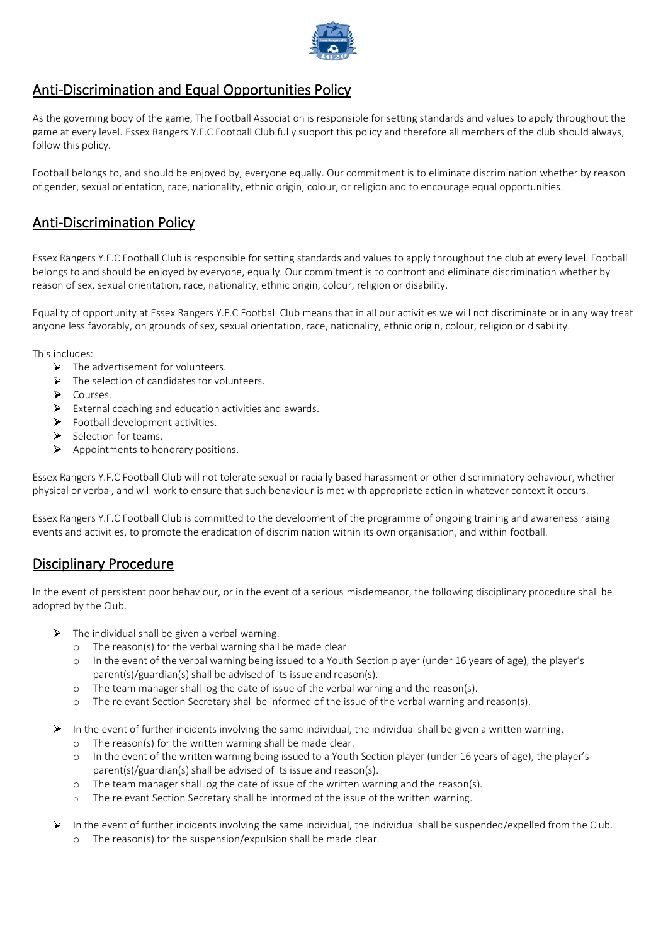

### Anti-Discrimination and Equal Opportunities Policy

As the governing body of the game, The Football Association is responsible for setting standards and values to apply throughout the game at every level. Essex Rangers Y.F.C Football Club fully support this policy and therefore all members of the club should always, follow this policy.

Football belongs to, and should be enjoyed by, everyone equally. Our commitment is to eliminate discrimination whether by reason of gender, sexual orientation, race, nationality, ethnic origin, colour, or religion and to encourage equal opportunities.

# Anti-Discrimination Policy

Essex Rangers Y.F.C Football Club is responsible for setting standards and values to apply throughout the club at every level. Football belongs to and should be enjoyed by everyone, equally. Our commitment is to confront and eliminate discrimination whether by reason of sex, sexual orientation, race, nationality, ethnic origin, colour, religion or disability.

Equality of opportunity at Essex Rangers Y.F.C Football Club means that in all our activities we will not discriminate or in any way treat anyone less favorably, on grounds of sex, sexual orientation, race, nationality, ethnic origin, colour, religion or disability.

This includes:

- $\triangleright$  The advertisement for volunteers.
- $\triangleright$  The selection of candidates for volunteers.
- $\triangleright$  Courses.
- $\blacktriangleright$ External coaching and education activities and awards.
- $\blacktriangleright$ Football development activities.
- $\blacktriangleright$ Selection for teams.
- $\triangleright$  Appointments to honorary positions.

Essex Rangers Y.F.C Football Club will not tolerate sexual or racially based harassment or other discriminatory behaviour, whether physical or verbal, and will work to ensure that such behaviour is met with appropriate action in whatever context it occurs.

Essex Rangers Y.F.C Football Club is committed to the development of the programme of ongoing training and awareness raising events and activities, to promote the eradication of discrimination within its own organisation, and within football.

### Disciplinary Procedure

In the event of persistent poor behaviour, or in the event of a serious misdemeanor, the following disciplinary procedure shall be adopted by the Club.

- $\triangleright$  The individual shall be given a verbal warning.
	- o The reason(s) for the verbal warning shall be made clear.
	- o In the event of the verbal warning being issued to a Youth Section player (under 16 years of age), the player's parent(s)/guardian(s) shall be advised of its issue and reason(s).
	- o The team manager shall log the date of issue of the verbal warning and the reason(s).
	- o The relevant Section Secretary shall be informed of the issue of the verbal warning and reason(s).
- $\blacktriangleright$ In the event of further incidents involving the same individual, the individual shall be given a written warning.
	- o The reason(s) for the written warning shall be made clear.
	- o In the event of the written warning being issued to a Youth Section player (under 16 years of age), the player's parent(s)/guardian(s) shall be advised of its issue and reason(s).
	- o The team manager shall log the date of issue of the written warning and the reason(s).
	- o The relevant Section Secretary shall be informed of the issue of the written warning.
- In the event of further incidents involving the same individual, the individual shall be suspended/expelled from the Club. ⋗ o The reason(s) for the suspension/expulsion shall be made clear.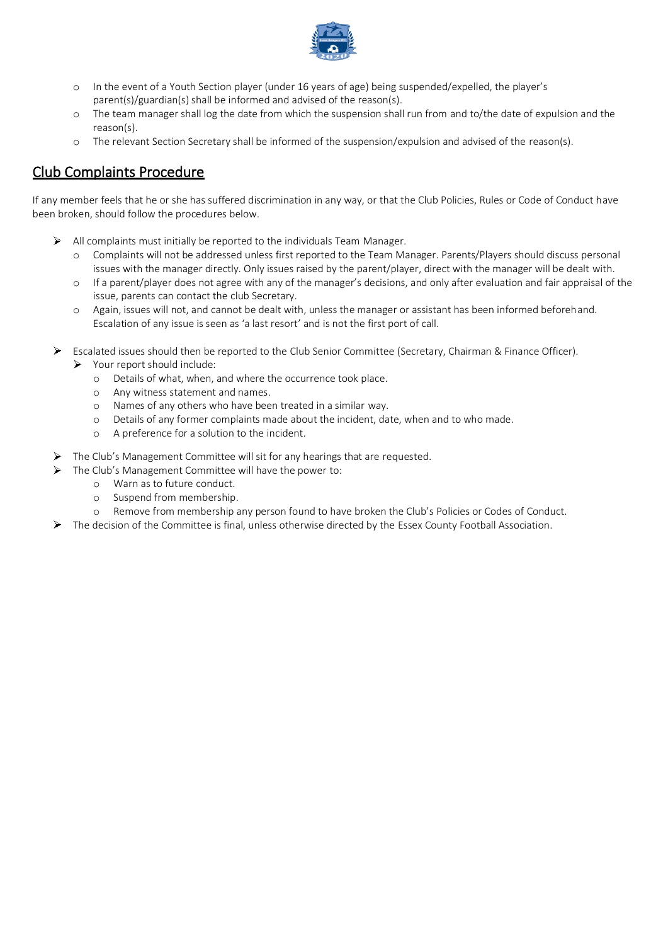

- o In the event of a Youth Section player (under 16 years of age) being suspended/expelled, the player's parent(s)/guardian(s) shall be informed and advised of the reason(s).
- o The team manager shall log the date from which the suspension shall run from and to/the date of expulsion and the reason(s).
- o The relevant Section Secretary shall be informed of the suspension/expulsion and advised of the reason(s).

## Club Complaints Procedure

If any member feels that he or she has suffered discrimination in any way, or that the Club Policies, Rules or Code of Conduct have been broken, should follow the procedures below.

- $\triangleright$  All complaints must initially be reported to the individuals Team Manager.
	- o Complaints will not be addressed unless first reported to the Team Manager. Parents/Players should discuss personal issues with the manager directly. Only issues raised by the parent/player, direct with the manager will be dealt with.
	- o If a parent/player does not agree with any of the manager's decisions, and only after evaluation and fair appraisal of the issue, parents can contact the club Secretary.
	- o Again, issues will not, and cannot be dealt with, unless the manager or assistant has been informed beforehand. Escalation of any issue is seen as 'a last resort' and is not the first port of call.
- $\blacktriangleright$ Escalated issues should then be reported to the Club Senior Committee (Secretary, Chairman & Finance Officer).
	- $\triangleright$  Your report should include:
		- o Details of what, when, and where the occurrence took place.
		- o Any witness statement and names.
		- o Names of any others who have been treated in a similar way.
		- o Details of any former complaints made about the incident, date, when and to who made.
		- o A preference for a solution to the incident.
- The Club's Management Committee will sit for any hearings that are requested.
	- The Club's Management Committee will have the power to:
		- o Warn as to future conduct.

 $\blacktriangleright$ 

- o Suspend from membership.
- o Remove from membership any person found to have broken the Club's Policies or Codes of Conduct.
- ▶ The decision of the Committee is final, unless otherwise directed by the Essex County Football Association.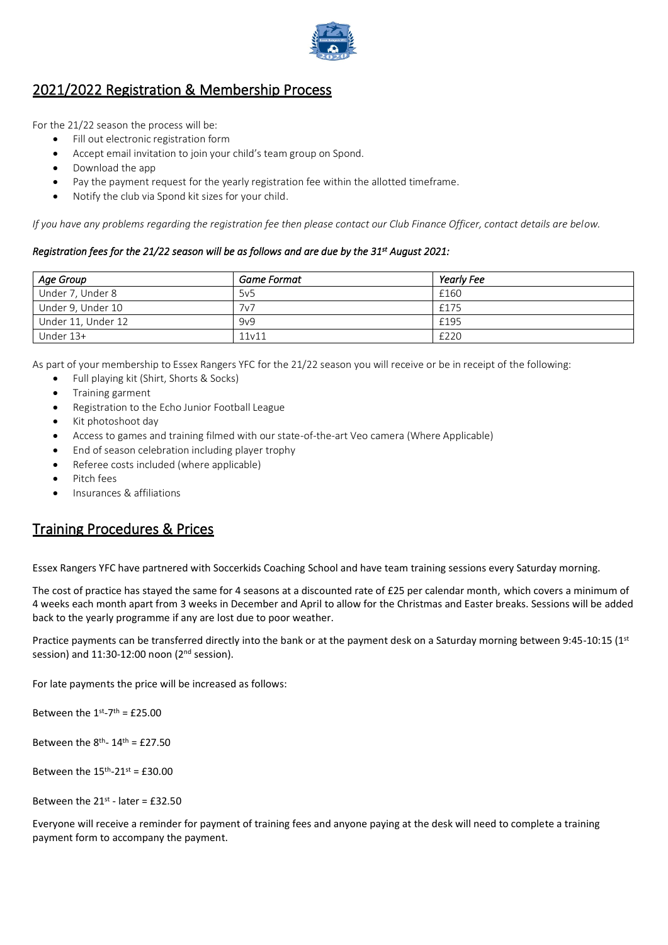

# 2021/2022 Registration & Membership Process

For the 21/22 season the process will be:

- Fill out electronic registration form
- Accept email invitation to join your child's team group on Spond.
- Download the app
- Pay the payment request for the yearly registration fee within the allotted timeframe.
- Notify the club via Spond kit sizes for your child.

*If you have any problems regarding the registration fee then please contact our Club Finance Officer, contact details are below.*

#### *Registration fees for the 21/22 season will be as follows and are due by the 31st August 2021:*

| Age Group          | <b>Game Format</b> | Yearly Fee |
|--------------------|--------------------|------------|
| Under 7, Under 8   | 5v <sub>5</sub>    | £160       |
| Under 9, Under 10  | 7v7                | £175       |
| Under 11, Under 12 | 9v9                | £195       |
| Under 13+          | 11v11              | £220       |

As part of your membership to Essex Rangers YFC for the 21/22 season you will receive or be in receipt of the following:

- Full playing kit (Shirt, Shorts & Socks)
- Training garment
- Registration to the Echo Junior Football League
- Kit photoshoot day
- Access to games and training filmed with our state-of-the-art Veo camera (Where Applicable)
- End of season celebration including player trophy
- Referee costs included (where applicable)
- Pitch fees
- Insurances & affiliations

### Training Procedures & Prices

Essex Rangers YFC have partnered with Soccerkids Coaching School and have team training sessions every Saturday morning.

The cost of practice has stayed the same for 4 seasons at a discounted rate of £25 per calendar month, which covers a minimum of 4 weeks each month apart from 3 weeks in December and April to allow for the Christmas and Easter breaks. Sessions will be added back to the yearly programme if any are lost due to poor weather.

Practice payments can be transferred directly into the bank or at the payment desk on a Saturday morning between 9:45-10:15 (1st session) and 11:30-12:00 noon (2<sup>nd</sup> session).

For late payments the price will be increased as follows:

Between the  $1^{st}$ -7<sup>th</sup> = £25.00

Between the  $8^{th}$ -  $14^{th}$  = £27.50

Between the  $15<sup>th</sup> - 21<sup>st</sup> = £30.00$ 

Between the  $21^{st}$  - later = £32.50

Everyone will receive a reminder for payment of training fees and anyone paying at the desk will need to complete a training payment form to accompany the payment.